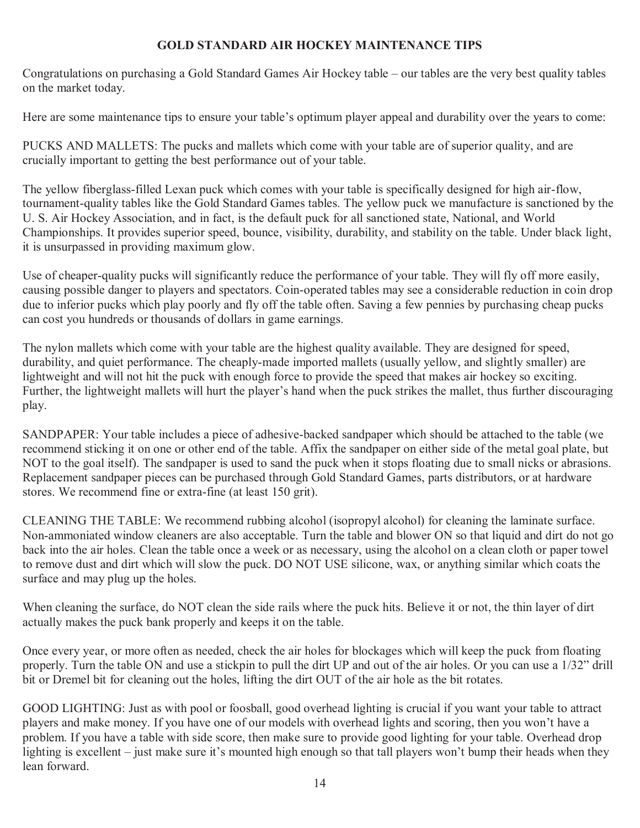## **GOLD STANDARD AIR HOCKEY MAINTENANCE TIPS**

Congratulations on purchasing a Gold Standard Games Air Hockey table – our tables are the very best quality tables on the market today.

Here are some maintenance tips to ensure your table's optimum player appeal and durability over the years to come:

PUCKS AND MALLETS: The pucks and mallets which come with your table are of superior quality, and are crucially important to getting the best performance out of your table.

The yellow fiberglass-filled Lexan puck which comes with your table is specifically designed for high air-flow, tournament-quality tables like the Gold Standard Games tables. The yellow puck we manufacture is sanctioned by the U. S. Air Hockey Association, and in fact, is the default puck for all sanctioned state, National, and World Championships. It provides superior speed, bounce, visibility, durability, and stability on the table. Under black light, it is unsurpassed in providing maximum glow.

Use of cheaper-quality pucks will significantly reduce the performance of your table. They will fly off more easily, causing possible danger to players and spectators. Coin-operated tables may see a considerable reduction in coin drop due to inferior pucks which play poorly and fly off the table often. Saving a few pennies by purchasing cheap pucks can cost you hundreds or thousands of dollars in game earnings.

The nylon mallets which come with your table are the highest quality available. They are designed for speed, durability, and quiet performance. The cheaply-made imported mallets (usually yellow, and slightly smaller) are lightweight and will not hit the puck with enough force to provide the speed that makes air hockey so exciting. Further, the lightweight mallets will hurt the player's hand when the puck strikes the mallet, thus further discouraging play.

SANDPAPER: Your table includes a piece of adhesive-backed sandpaper which should be attached to the table (we recommend sticking it on one or other end of the table. Affix the sandpaper on either side of the metal goal plate, but NOT to the goal itself). The sandpaper is used to sand the puck when it stops floating due to small nicks or abrasions. Replacement sandpaper pieces can be purchased through Gold Standard Games, parts distributors, or at hardware stores. We recommend fine or extra-fine (at least 150 grit).

CLEANING THE TABLE: We recommend rubbing alcohol (isopropyl alcohol) for cleaning the laminate surface. Non-ammoniated window cleaners are also acceptable. Turn the table and blower ON so that liquid and dirt do not go back into the air holes. Clean the table once a week or as necessary, using the alcohol on a clean cloth or paper towel to remove dust and dirt which will slow the puck. DO NOT USE silicone, wax, or anything similar which coats the surface and may plug up the holes.

When cleaning the surface, do NOT clean the side rails where the puck hits. Believe it or not, the thin layer of dirt actually makes the puck bank properly and keeps it on the table.

Once every year, or more often as needed, check the air holes for blockages which will keep the puck from floating properly. Turn the table ON and use a stickpin to pull the dirt UP and out of the air holes. Or you can use a 1/32" drill bit or Dremel bit for cleaning out the holes, lifting the dirt OUT of the air hole as the bit rotates.

GOOD LIGHTING: Just as with pool or foosball, good overhead lighting is crucial if you want your table to attract players and make money. If you have one of our models with overhead lights and scoring, then you won't have a problem. If you have a table with side score, then make sure to provide good lighting for your table. Overhead drop lighting is excellent – just make sure it's mounted high enough so that tall players won't bump their heads when they lean forward.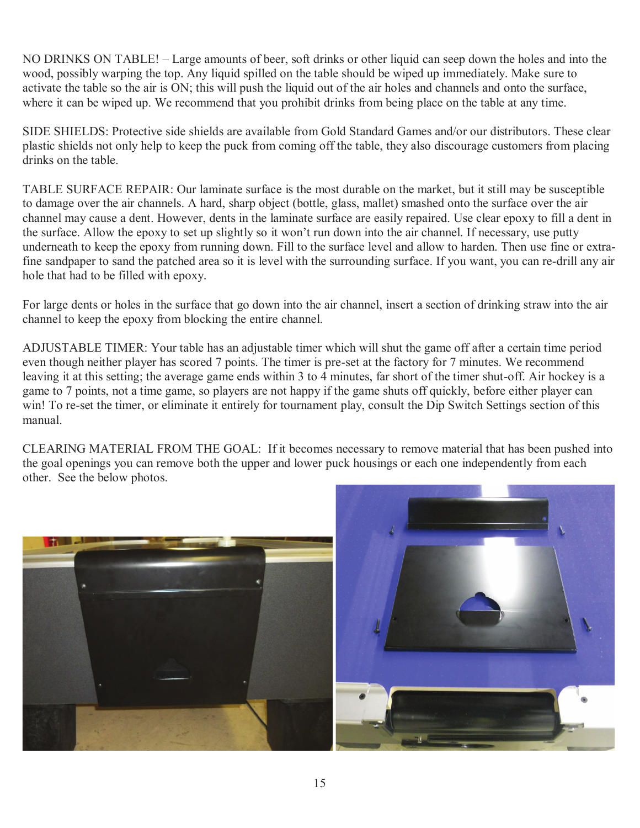NO DRINKS ON TABLE! – Large amounts of beer, soft drinks or other liquid can seep down the holes and into the wood, possibly warping the top. Any liquid spilled on the table should be wiped up immediately. Make sure to activate the table so the air is ON; this will push the liquid out of the air holes and channels and onto the surface, where it can be wiped up. We recommend that you prohibit drinks from being place on the table at any time.

SIDE SHIELDS: Protective side shields are available from Gold Standard Games and/or our distributors. These clear plastic shields not only help to keep the puck from coming off the table, they also discourage customers from placing drinks on the table.

TABLE SURFACE REPAIR: Our laminate surface is the most durable on the market, but it still may be susceptible to damage over the air channels. A hard, sharp object (bottle, glass, mallet) smashed onto the surface over the air channel may cause a dent. However, dents in the laminate surface are easily repaired. Use clear epoxy to fill a dent in the surface. Allow the epoxy to set up slightly so it won't run down into the air channel. If necessary, use putty underneath to keep the epoxy from running down. Fill to the surface level and allow to harden. Then use fine or extrafine sandpaper to sand the patched area so it is level with the surrounding surface. If you want, you can re-drill any air hole that had to be filled with epoxy.

For large dents or holes in the surface that go down into the air channel, insert a section of drinking straw into the air channel to keep the epoxy from blocking the entire channel.

ADJUSTABLE TIMER: Your table has an adjustable timer which will shut the game off after a certain time period even though neither player has scored 7 points. The timer is pre-set at the factory for 7 minutes. We recommend leaving it at this setting; the average game ends within 3 to 4 minutes, far short of the timer shut-off. Air hockey is a game to 7 points, not a time game, so players are not happy if the game shuts off quickly, before either player can win! To re-set the timer, or eliminate it entirely for tournament play, consult the Dip Switch Settings section of this manual.

CLEARING MATERIAL FROM THE GOAL: If it becomes necessary to remove material that has been pushed into the goal openings you can remove both the upper and lower puck housings or each one independently from each other. See the below photos.